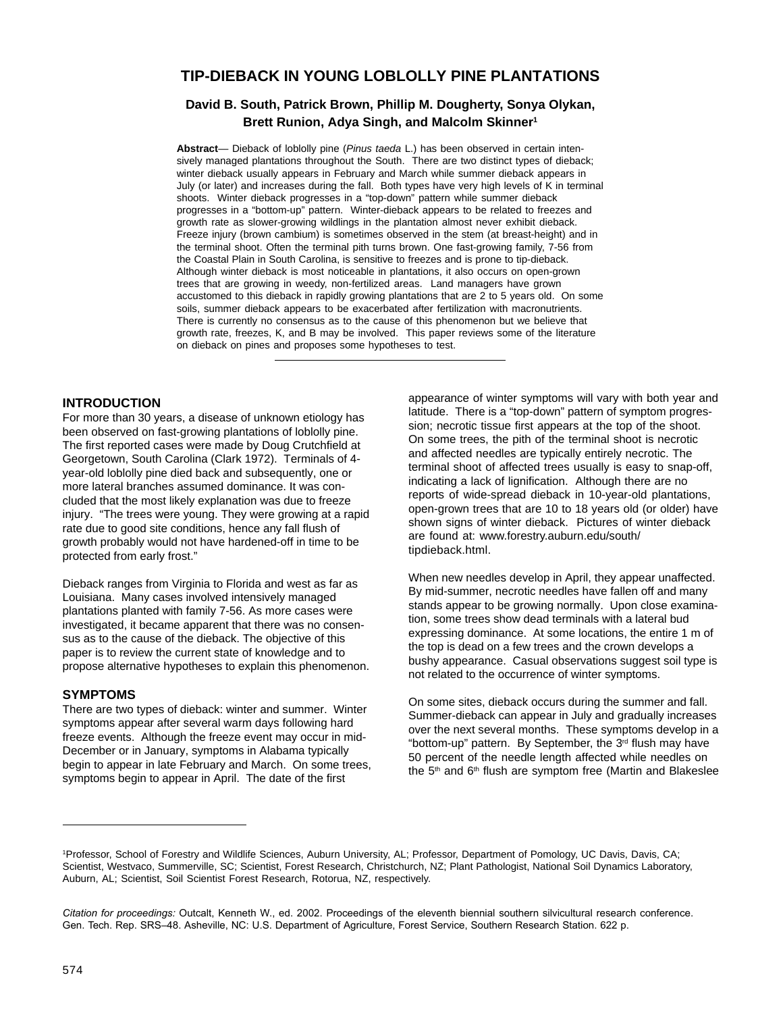# **TIP-DIEBACK IN YOUNG LOBLOLLY PINE PLANTATIONS**

## **David B. South, Patrick Brown, Phillip M. Dougherty, Sonya Olykan, Brett Runion, Adya Singh, and Malcolm Skinner1**

**Abstract**— Dieback of loblolly pine (Pinus taeda L.) has been observed in certain intensively managed plantations throughout the South. There are two distinct types of dieback; winter dieback usually appears in February and March while summer dieback appears in July (or later) and increases during the fall. Both types have very high levels of K in terminal shoots. Winter dieback progresses in a "top-down" pattern while summer dieback progresses in a "bottom-up" pattern. Winter-dieback appears to be related to freezes and growth rate as slower-growing wildlings in the plantation almost never exhibit dieback. Freeze injury (brown cambium) is sometimes observed in the stem (at breast-height) and in the terminal shoot. Often the terminal pith turns brown. One fast-growing family, 7-56 from the Coastal Plain in South Carolina, is sensitive to freezes and is prone to tip-dieback. Although winter dieback is most noticeable in plantations, it also occurs on open-grown trees that are growing in weedy, non-fertilized areas. Land managers have grown accustomed to this dieback in rapidly growing plantations that are 2 to 5 years old. On some soils, summer dieback appears to be exacerbated after fertilization with macronutrients. There is currently no consensus as to the cause of this phenomenon but we believe that growth rate, freezes, K, and B may be involved. This paper reviews some of the literature on dieback on pines and proposes some hypotheses to test.

### **INTRODUCTION**

For more than 30 years, a disease of unknown etiology has been observed on fast-growing plantations of loblolly pine. The first reported cases were made by Doug Crutchfield at Georgetown, South Carolina (Clark 1972). Terminals of 4 year-old loblolly pine died back and subsequently, one or more lateral branches assumed dominance. It was concluded that the most likely explanation was due to freeze injury. "The trees were young. They were growing at a rapid rate due to good site conditions, hence any fall flush of growth probably would not have hardened-off in time to be protected from early frost."

Dieback ranges from Virginia to Florida and west as far as Louisiana. Many cases involved intensively managed plantations planted with family 7-56. As more cases were investigated, it became apparent that there was no consensus as to the cause of the dieback. The objective of this paper is to review the current state of knowledge and to propose alternative hypotheses to explain this phenomenon.

### **SYMPTOMS**

There are two types of dieback: winter and summer. Winter symptoms appear after several warm days following hard freeze events. Although the freeze event may occur in mid-December or in January, symptoms in Alabama typically begin to appear in late February and March. On some trees, symptoms begin to appear in April. The date of the first

appearance of winter symptoms will vary with both year and latitude. There is a "top-down" pattern of symptom progression; necrotic tissue first appears at the top of the shoot. On some trees, the pith of the terminal shoot is necrotic and affected needles are typically entirely necrotic. The terminal shoot of affected trees usually is easy to snap-off, indicating a lack of lignification. Although there are no reports of wide-spread dieback in 10-year-old plantations, open-grown trees that are 10 to 18 years old (or older) have shown signs of winter dieback. Pictures of winter dieback are found at: www.forestry.auburn.edu/south/ tipdieback.html.

When new needles develop in April, they appear unaffected. By mid-summer, necrotic needles have fallen off and many stands appear to be growing normally. Upon close examination, some trees show dead terminals with a lateral bud expressing dominance. At some locations, the entire 1 m of the top is dead on a few trees and the crown develops a bushy appearance. Casual observations suggest soil type is not related to the occurrence of winter symptoms.

On some sites, dieback occurs during the summer and fall. Summer-dieback can appear in July and gradually increases over the next several months. These symptoms develop in a "bottom-up" pattern. By September, the 3<sup>rd</sup> flush may have 50 percent of the needle length affected while needles on the 5<sup>th</sup> and 6<sup>th</sup> flush are symptom free (Martin and Blakeslee

<sup>1</sup> Professor, School of Forestry and Wildlife Sciences, Auburn University, AL; Professor, Department of Pomology, UC Davis, Davis, CA; Scientist, Westvaco, Summerville, SC; Scientist, Forest Research, Christchurch, NZ; Plant Pathologist, National Soil Dynamics Laboratory, Auburn, AL; Scientist, Soil Scientist Forest Research, Rotorua, NZ, respectively.

*Citation for proceedings:* Outcalt, Kenneth W., ed. 2002. Proceedings of the eleventh biennial southern silvicultural research conference. Gen. Tech. Rep. SRS–48. Asheville, NC: U.S. Department of Agriculture, Forest Service, Southern Research Station. 622 p.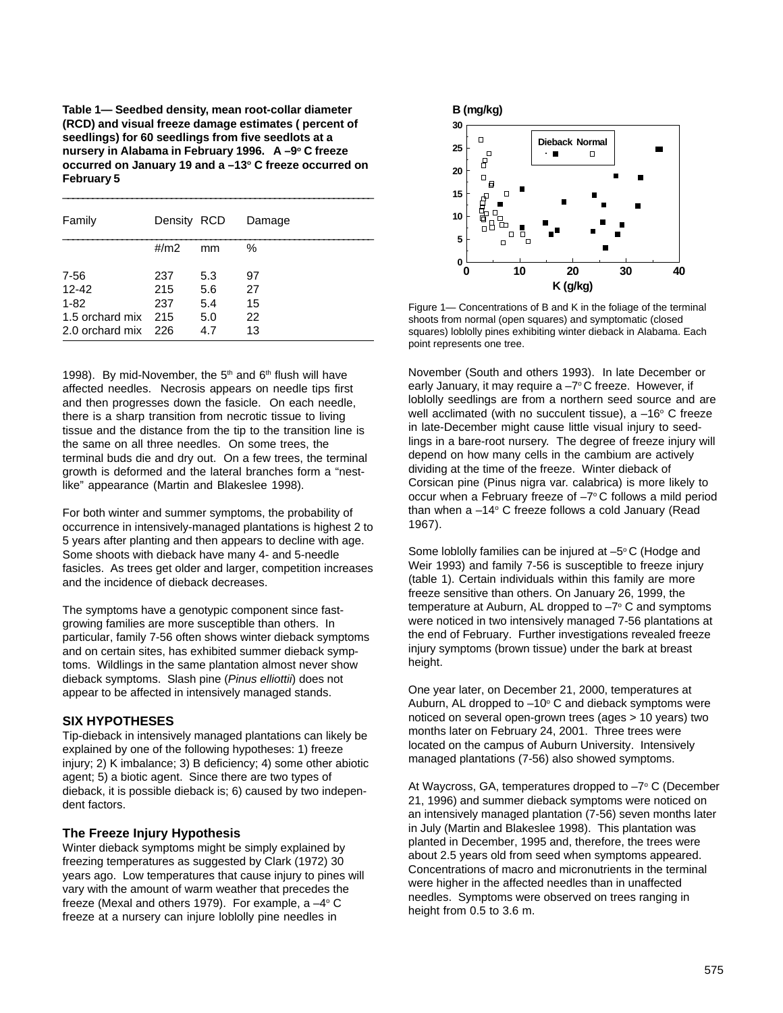**Table 1— Seedbed density, mean root-collar diameter (RCD) and visual freeze damage estimates ( percent of seedlings) for 60 seedlings from five seedlots at a** nursery in Alabama in February 1996. A -9° C freeze **occurred on January 19 and a –13o C freeze occurred on February 5**

\_\_\_\_\_\_\_\_\_\_\_\_\_\_\_\_\_\_\_\_\_\_\_\_\_\_\_\_\_\_\_\_\_\_\_\_\_\_\_\_\_\_\_\_\_\_\_\_\_\_\_\_\_\_\_\_\_\_\_\_\_\_\_

| Family            | Density RCD |            | Damage   |
|-------------------|-------------|------------|----------|
|                   | #/m2        | mm         | %        |
| 7-56<br>$12 - 42$ | 237<br>215  | 5.3<br>5.6 | 97<br>27 |
| $1 - 82$          | 237         | 5.4        | 15       |
| 1.5 orchard mix   | 215         | 5.0        | 22       |
| 2.0 orchard mix   | 226         | 4.7        | 13       |

1998). By mid-November, the  $5<sup>th</sup>$  and  $6<sup>th</sup>$  flush will have affected needles. Necrosis appears on needle tips first and then progresses down the fasicle. On each needle, there is a sharp transition from necrotic tissue to living tissue and the distance from the tip to the transition line is the same on all three needles. On some trees, the terminal buds die and dry out. On a few trees, the terminal growth is deformed and the lateral branches form a "nestlike" appearance (Martin and Blakeslee 1998).

For both winter and summer symptoms, the probability of occurrence in intensively-managed plantations is highest 2 to 5 years after planting and then appears to decline with age. Some shoots with dieback have many 4- and 5-needle fasicles. As trees get older and larger, competition increases and the incidence of dieback decreases.

The symptoms have a genotypic component since fastgrowing families are more susceptible than others. In particular, family 7-56 often shows winter dieback symptoms and on certain sites, has exhibited summer dieback symptoms. Wildlings in the same plantation almost never show dieback symptoms. Slash pine (Pinus elliottii) does not appear to be affected in intensively managed stands.

### **SIX HYPOTHESES**

Tip-dieback in intensively managed plantations can likely be explained by one of the following hypotheses: 1) freeze injury; 2) K imbalance; 3) B deficiency; 4) some other abiotic agent; 5) a biotic agent. Since there are two types of dieback, it is possible dieback is; 6) caused by two independent factors.

### **The Freeze Injury Hypothesis**

Winter dieback symptoms might be simply explained by freezing temperatures as suggested by Clark (1972) 30 years ago. Low temperatures that cause injury to pines will vary with the amount of warm weather that precedes the freeze (Mexal and others 1979). For example, a  $-4^{\circ}$  C freeze at a nursery can injure loblolly pine needles in



Figure 1— Concentrations of B and K in the foliage of the terminal shoots from normal (open squares) and symptomatic (closed squares) loblolly pines exhibiting winter dieback in Alabama. Each point represents one tree.

November (South and others 1993). In late December or early January, it may require a  $-7^{\circ}$ C freeze. However, if loblolly seedlings are from a northern seed source and are well acclimated (with no succulent tissue), a  $-16^{\circ}$  C freeze in late-December might cause little visual injury to seedlings in a bare-root nursery. The degree of freeze injury will depend on how many cells in the cambium are actively dividing at the time of the freeze. Winter dieback of Corsican pine (Pinus nigra var. calabrica) is more likely to occur when a February freeze of  $-7^{\circ}$ C follows a mild period than when a -14° C freeze follows a cold January (Read 1967).

Some loblolly families can be injured at  $-5^{\circ}$  C (Hodge and Weir 1993) and family 7-56 is susceptible to freeze injury (table 1). Certain individuals within this family are more freeze sensitive than others. On January 26, 1999, the temperature at Auburn, AL dropped to  $-7^{\circ}$  C and symptoms were noticed in two intensively managed 7-56 plantations at the end of February. Further investigations revealed freeze injury symptoms (brown tissue) under the bark at breast height.

One year later, on December 21, 2000, temperatures at Auburn, AL dropped to  $-10^{\circ}$  C and dieback symptoms were noticed on several open-grown trees (ages > 10 years) two months later on February 24, 2001. Three trees were located on the campus of Auburn University. Intensively managed plantations (7-56) also showed symptoms.

At Waycross, GA, temperatures dropped to -7° C (December 21, 1996) and summer dieback symptoms were noticed on an intensively managed plantation (7-56) seven months later in July (Martin and Blakeslee 1998). This plantation was planted in December, 1995 and, therefore, the trees were about 2.5 years old from seed when symptoms appeared. Concentrations of macro and micronutrients in the terminal were higher in the affected needles than in unaffected needles. Symptoms were observed on trees ranging in height from 0.5 to 3.6 m.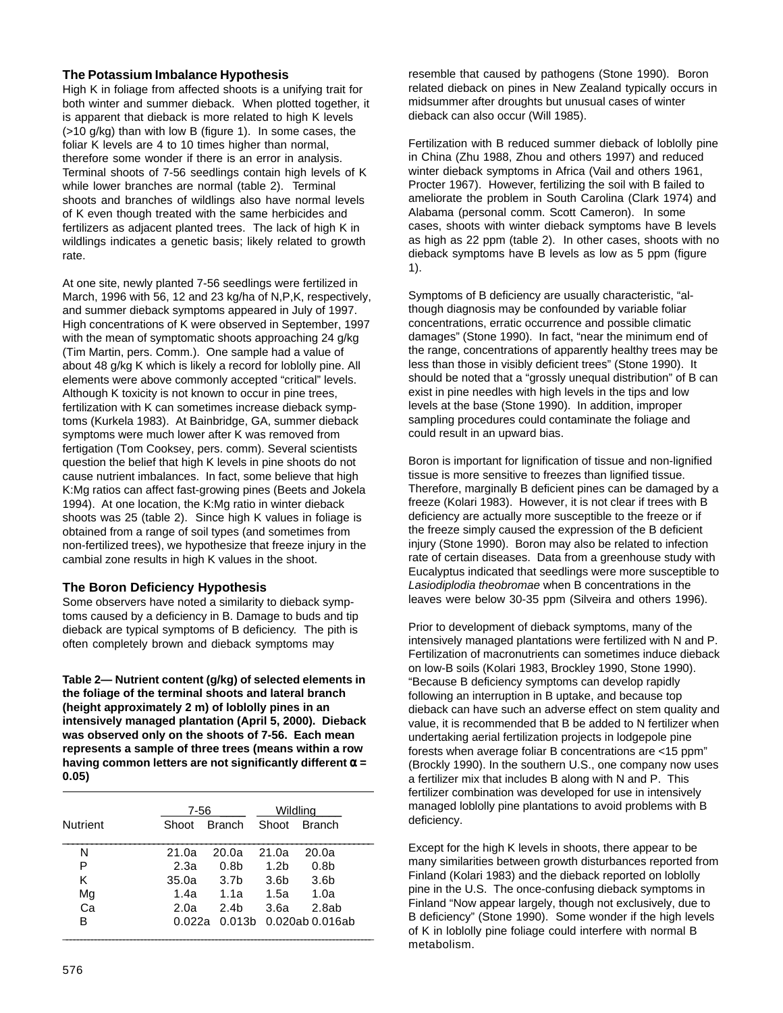### **The Potassium Imbalance Hypothesis**

High K in foliage from affected shoots is a unifying trait for both winter and summer dieback. When plotted together, it is apparent that dieback is more related to high K levels (>10 g/kg) than with low B (figure 1). In some cases, the foliar K levels are 4 to 10 times higher than normal, therefore some wonder if there is an error in analysis. Terminal shoots of 7-56 seedlings contain high levels of K while lower branches are normal (table 2). Terminal shoots and branches of wildlings also have normal levels of K even though treated with the same herbicides and fertilizers as adjacent planted trees. The lack of high K in wildlings indicates a genetic basis; likely related to growth rate.

At one site, newly planted 7-56 seedlings were fertilized in March, 1996 with 56, 12 and 23 kg/ha of N,P,K, respectively, and summer dieback symptoms appeared in July of 1997. High concentrations of K were observed in September, 1997 with the mean of symptomatic shoots approaching 24 g/kg (Tim Martin, pers. Comm.). One sample had a value of about 48 g/kg K which is likely a record for loblolly pine. All elements were above commonly accepted "critical" levels. Although K toxicity is not known to occur in pine trees, fertilization with K can sometimes increase dieback symptoms (Kurkela 1983). At Bainbridge, GA, summer dieback symptoms were much lower after K was removed from fertigation (Tom Cooksey, pers. comm). Several scientists question the belief that high K levels in pine shoots do not cause nutrient imbalances. In fact, some believe that high K:Mg ratios can affect fast-growing pines (Beets and Jokela 1994). At one location, the K:Mg ratio in winter dieback shoots was 25 (table 2). Since high K values in foliage is obtained from a range of soil types (and sometimes from non-fertilized trees), we hypothesize that freeze injury in the cambial zone results in high K values in the shoot.

## **The Boron Deficiency Hypothesis**

Some observers have noted a similarity to dieback symptoms caused by a deficiency in B. Damage to buds and tip dieback are typical symptoms of B deficiency. The pith is often completely brown and dieback symptoms may

**Table 2— Nutrient content (g/kg) of selected elements in the foliage of the terminal shoots and lateral branch (height approximately 2 m) of loblolly pines in an intensively managed plantation (April 5, 2000). Dieback was observed only on the shoots of 7-56. Each mean represents a sample of three trees (means within a row having common letters are not significantly different** α **= 0.05)**

|                 | 7-56  |                  |                  | Wildling         |
|-----------------|-------|------------------|------------------|------------------|
| <b>Nutrient</b> | Shoot | <b>Branch</b>    | Shoot            | <b>Branch</b>    |
| N               | 21.0a | 20.0a            | 21.0a            | 20.0a            |
| P               | 2.3a  | 0.8 <sub>b</sub> | 1.2 <sub>b</sub> | 0.8 <sub>b</sub> |
| κ               | 35.0a | 3.7 <sub>b</sub> | 3.6 <sub>b</sub> | 3.6 <sub>b</sub> |
| Mg              | 1.4a  | 1.1a             | 1.5a             | 1.0a             |
| Ca              | 2.0a  | 2.4 <sub>b</sub> | 3.6a             | 2.8ab            |
| в               |       | 0.022a  0.013b   |                  | 0.020ab 0.016ab  |

resemble that caused by pathogens (Stone 1990). Boron related dieback on pines in New Zealand typically occurs in midsummer after droughts but unusual cases of winter dieback can also occur (Will 1985).

Fertilization with B reduced summer dieback of loblolly pine in China (Zhu 1988, Zhou and others 1997) and reduced winter dieback symptoms in Africa (Vail and others 1961, Procter 1967). However, fertilizing the soil with B failed to ameliorate the problem in South Carolina (Clark 1974) and Alabama (personal comm. Scott Cameron). In some cases, shoots with winter dieback symptoms have B levels as high as 22 ppm (table 2). In other cases, shoots with no dieback symptoms have B levels as low as 5 ppm (figure 1).

Symptoms of B deficiency are usually characteristic, "although diagnosis may be confounded by variable foliar concentrations, erratic occurrence and possible climatic damages" (Stone 1990). In fact, "near the minimum end of the range, concentrations of apparently healthy trees may be less than those in visibly deficient trees" (Stone 1990). It should be noted that a "grossly unequal distribution" of B can exist in pine needles with high levels in the tips and low levels at the base (Stone 1990). In addition, improper sampling procedures could contaminate the foliage and could result in an upward bias.

Boron is important for lignification of tissue and non-lignified tissue is more sensitive to freezes than lignified tissue. Therefore, marginally B deficient pines can be damaged by a freeze (Kolari 1983). However, it is not clear if trees with B deficiency are actually more susceptible to the freeze or if the freeze simply caused the expression of the B deficient injury (Stone 1990). Boron may also be related to infection rate of certain diseases. Data from a greenhouse study with Eucalyptus indicated that seedlings were more susceptible to Lasiodiplodia theobromae when B concentrations in the leaves were below 30-35 ppm (Silveira and others 1996).

Prior to development of dieback symptoms, many of the intensively managed plantations were fertilized with N and P. Fertilization of macronutrients can sometimes induce dieback on low-B soils (Kolari 1983, Brockley 1990, Stone 1990). "Because B deficiency symptoms can develop rapidly following an interruption in B uptake, and because top dieback can have such an adverse effect on stem quality and value, it is recommended that B be added to N fertilizer when undertaking aerial fertilization projects in lodgepole pine forests when average foliar B concentrations are <15 ppm" (Brockly 1990). In the southern U.S., one company now uses a fertilizer mix that includes B along with N and P. This fertilizer combination was developed for use in intensively managed loblolly pine plantations to avoid problems with B deficiency.

Except for the high K levels in shoots, there appear to be many similarities between growth disturbances reported from Finland (Kolari 1983) and the dieback reported on loblolly pine in the U.S. The once-confusing dieback symptoms in Finland "Now appear largely, though not exclusively, due to B deficiency" (Stone 1990). Some wonder if the high levels of K in loblolly pine foliage could interfere with normal B metabolism.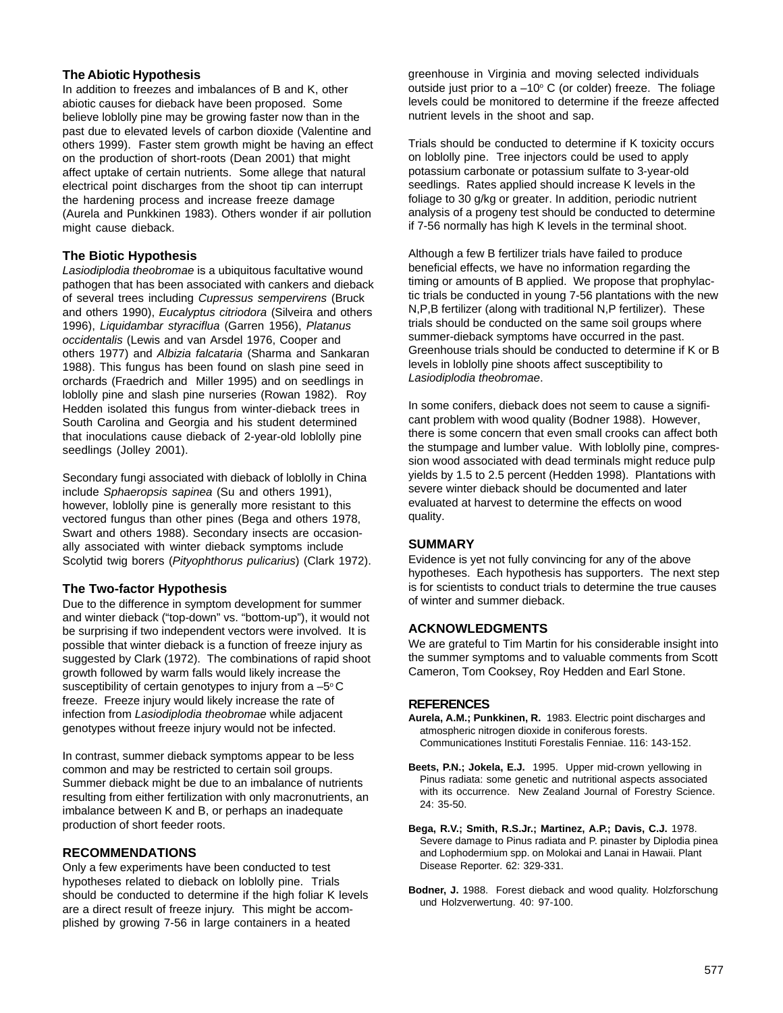### **The Abiotic Hypothesis**

In addition to freezes and imbalances of B and K, other abiotic causes for dieback have been proposed. Some believe loblolly pine may be growing faster now than in the past due to elevated levels of carbon dioxide (Valentine and others 1999). Faster stem growth might be having an effect on the production of short-roots (Dean 2001) that might affect uptake of certain nutrients. Some allege that natural electrical point discharges from the shoot tip can interrupt the hardening process and increase freeze damage (Aurela and Punkkinen 1983). Others wonder if air pollution might cause dieback.

### **The Biotic Hypothesis**

Lasiodiplodia theobromae is a ubiquitous facultative wound pathogen that has been associated with cankers and dieback of several trees including Cupressus sempervirens (Bruck and others 1990), Eucalyptus citriodora (Silveira and others 1996), Liquidambar styraciflua (Garren 1956), Platanus occidentalis (Lewis and van Arsdel 1976, Cooper and others 1977) and Albizia falcataria (Sharma and Sankaran 1988). This fungus has been found on slash pine seed in orchards (Fraedrich and Miller 1995) and on seedlings in loblolly pine and slash pine nurseries (Rowan 1982). Roy Hedden isolated this fungus from winter-dieback trees in South Carolina and Georgia and his student determined that inoculations cause dieback of 2-year-old loblolly pine seedlings (Jolley 2001).

Secondary fungi associated with dieback of loblolly in China include Sphaeropsis sapinea (Su and others 1991), however, loblolly pine is generally more resistant to this vectored fungus than other pines (Bega and others 1978, Swart and others 1988). Secondary insects are occasionally associated with winter dieback symptoms include Scolytid twig borers (Pityophthorus pulicarius) (Clark 1972).

### **The Two-factor Hypothesis**

Due to the difference in symptom development for summer and winter dieback ("top-down" vs. "bottom-up"), it would not be surprising if two independent vectors were involved. It is possible that winter dieback is a function of freeze injury as suggested by Clark (1972). The combinations of rapid shoot growth followed by warm falls would likely increase the susceptibility of certain genotypes to injury from a  $-5^{\circ}$ C freeze. Freeze injury would likely increase the rate of infection from Lasiodiplodia theobromae while adjacent genotypes without freeze injury would not be infected.

In contrast, summer dieback symptoms appear to be less common and may be restricted to certain soil groups. Summer dieback might be due to an imbalance of nutrients resulting from either fertilization with only macronutrients, an imbalance between K and B, or perhaps an inadequate production of short feeder roots.

### **RECOMMENDATIONS**

Only a few experiments have been conducted to test hypotheses related to dieback on loblolly pine. Trials should be conducted to determine if the high foliar K levels are a direct result of freeze injury. This might be accomplished by growing 7-56 in large containers in a heated

greenhouse in Virginia and moving selected individuals outside just prior to a  $-10^{\circ}$  C (or colder) freeze. The foliage levels could be monitored to determine if the freeze affected nutrient levels in the shoot and sap.

Trials should be conducted to determine if K toxicity occurs on loblolly pine. Tree injectors could be used to apply potassium carbonate or potassium sulfate to 3-year-old seedlings. Rates applied should increase K levels in the foliage to 30 g/kg or greater. In addition, periodic nutrient analysis of a progeny test should be conducted to determine if 7-56 normally has high K levels in the terminal shoot.

Although a few B fertilizer trials have failed to produce beneficial effects, we have no information regarding the timing or amounts of B applied. We propose that prophylactic trials be conducted in young 7-56 plantations with the new N,P,B fertilizer (along with traditional N,P fertilizer). These trials should be conducted on the same soil groups where summer-dieback symptoms have occurred in the past. Greenhouse trials should be conducted to determine if K or B levels in loblolly pine shoots affect susceptibility to Lasiodiplodia theobromae.

In some conifers, dieback does not seem to cause a significant problem with wood quality (Bodner 1988). However, there is some concern that even small crooks can affect both the stumpage and lumber value. With loblolly pine, compression wood associated with dead terminals might reduce pulp yields by 1.5 to 2.5 percent (Hedden 1998). Plantations with severe winter dieback should be documented and later evaluated at harvest to determine the effects on wood quality.

### **SUMMARY**

Evidence is yet not fully convincing for any of the above hypotheses. Each hypothesis has supporters. The next step is for scientists to conduct trials to determine the true causes of winter and summer dieback.

### **ACKNOWLEDGMENTS**

We are grateful to Tim Martin for his considerable insight into the summer symptoms and to valuable comments from Scott Cameron, Tom Cooksey, Roy Hedden and Earl Stone.

#### **REFERENCES**

- **Aurela, A.M.; Punkkinen, R.** 1983. Electric point discharges and atmospheric nitrogen dioxide in coniferous forests. Communicationes Instituti Forestalis Fenniae. 116: 143-152.
- **Beets, P.N.; Jokela, E.J.** 1995. Upper mid-crown yellowing in Pinus radiata: some genetic and nutritional aspects associated with its occurrence. New Zealand Journal of Forestry Science. 24: 35-50.
- **Bega, R.V.; Smith, R.S.Jr.; Martinez, A.P.; Davis, C.J.** 1978. Severe damage to Pinus radiata and P. pinaster by Diplodia pinea and Lophodermium spp. on Molokai and Lanai in Hawaii. Plant Disease Reporter. 62: 329-331.
- **Bodner, J.** 1988. Forest dieback and wood quality. Holzforschung und Holzverwertung. 40: 97-100.